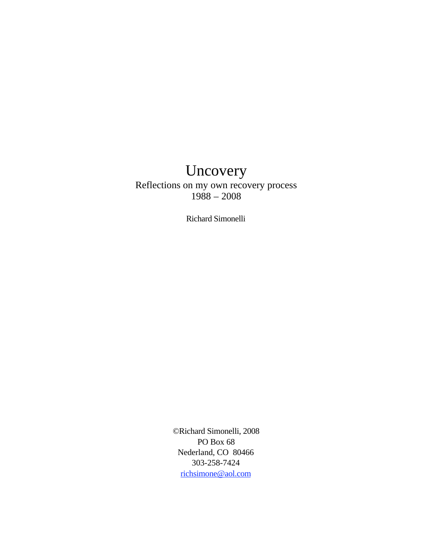# Uncovery

Reflections on my own recovery process  $1988 - 2008$ 

Richard Simonelli

©Richard Simonelli, 2008 PO Box 68 Nederland, CO 80466 303-258-7424 richsimone@aol.com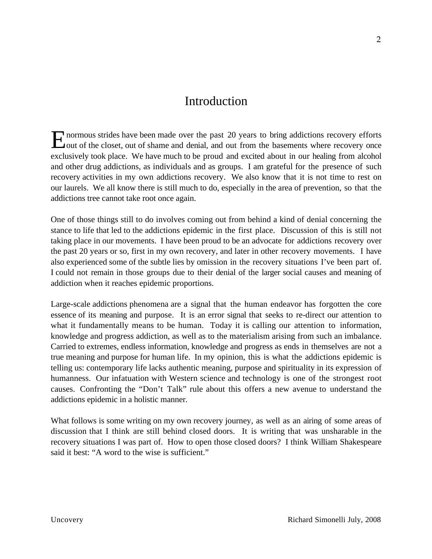#### Introduction

normous strides have been made over the past 20 years to bring addictions recovery efforts E normous strides have been made over the past 20 years to bring addictions recovery efforts<br>
Cout of the closet, out of shame and denial, and out from the basements where recovery once exclusively took place. We have much to be proud and excited about in our healing from alcohol and other drug addictions, as individuals and as groups. I am grateful for the presence of such recovery activities in my own addictions recovery. We also know that it is not time to rest on our laurels. We all know there is still much to do, especially in the area of prevention, so that the addictions tree cannot take root once again.

One of those things still to do involves coming out from behind a kind of denial concerning the stance to life that led to the addictions epidemic in the first place. Discussion of this is still not taking place in our movements. I have been proud to be an advocate for addictions recovery over the past 20 years or so, first in my own recovery, and later in other recovery movements. I have also experienced some of the subtle lies by omission in the recovery situations I've been part of. I could not remain in those groups due to their denial of the larger social causes and meaning of addiction when it reaches epidemic proportions.

Large-scale addictions phenomena are a signal that the human endeavor has forgotten the core essence of its meaning and purpose. It is an error signal that seeks to re-direct our attention to what it fundamentally means to be human. Today it is calling our attention to information, knowledge and progress addiction, as well as to the materialism arising from such an imbalance. Carried to extremes, endless information, knowledge and progress as ends in themselves are not a true meaning and purpose for human life. In my opinion, this is what the addictions epidemic is telling us: contemporary life lacks authentic meaning, purpose and spirituality in its expression of humanness. Our infatuation with Western science and technology is one of the strongest root causes. Confronting the "Don't Talk" rule about this offers a new avenue to understand the addictions epidemic in a holistic manner.

What follows is some writing on my own recovery journey, as well as an airing of some areas of discussion that I think are still behind closed doors. It is writing that was unsharable in the recovery situations I was part of. How to open those closed doors? I think William Shakespeare said it best: "A word to the wise is sufficient."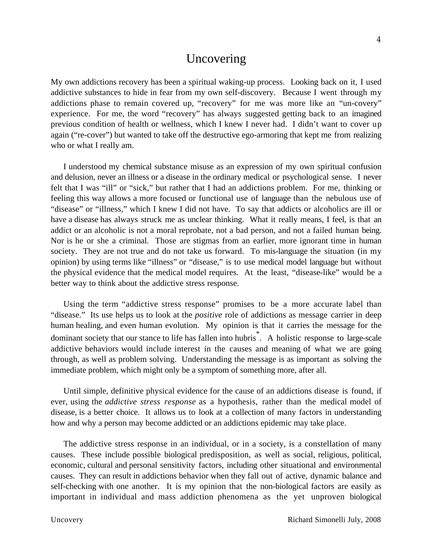#### Uncovering

My own addictions recovery has been a spiritual waking-up process. Looking back on it, I used addictive substances to hide in fear from my own self-discovery. Because I went through my addictions phase to remain covered up, "recovery" for me was more like an "un-covery" experience. For me, the word "recovery" has always suggested getting back to an imagined previous condition of health or wellness, which I knew I never had. I didn't want to cover up again ("re-cover") but wanted to take off the destructive ego-armoring that kept me from realizing who or what I really am.

I understood my chemical substance misuse as an expression of my own spiritual confusion and delusion, never an illness or a disease in the ordinary medical or psychological sense. I never felt that I was "ill" or "sick," but rather that I had an addictions problem. For me, thinking or feeling this way allows a more focused or functional use of language than the nebulous use of "disease" or "illness," which I knew I did not have. To say that addicts or alcoholics are ill or have a disease has always struck me as unclear thinking. What it really means, I feel, is that an addict or an alcoholic is not a moral reprobate, not a bad person, and not a failed human being. Nor is he or she a criminal. Those are stigmas from an earlier, more ignorant time in human society. They are not true and do not take us forward. To mis-language the situation (in my opinion) by using terms like "illness" or "disease," is to use medical model language but without the physical evidence that the medical model requires. At the least, "disease-like" would be a better way to think about the addictive stress response.

Using the term "addictive stress response" promises to be a more accurate label than "disease." Its use helps us to look at the *positive* role of addictions as message carrier in deep human healing, and even human evolution. My opinion is that it carries the message for the dominant society that our stance to life has fallen into hubris<sup>\*</sup>. A holistic response to large-scale addictive behaviors would include interest in the causes and meaning of what we are going through, as well as problem solving. Understanding the message is as important as solving the immediate problem, which might only be a symptom of something more, after all.

Until simple, definitive physical evidence for the cause of an addictions disease is found, if ever, using the *addictive stress response* as a hypothesis, rather than the medical model of disease, is a better choice. It allows us to look at a collection of many factors in understanding how and why a person may become addicted or an addictions epidemic may take place.

The addictive stress response in an individual, or in a society, is a constellation of many causes. These include possible biological predisposition, as well as social, religious, political, economic, cultural and personal sensitivity factors, including other situational and environmental causes. They can result in addictions behavior when they fall out of active, dynamic balance and self-checking with one another. It is my opinion that the non-biological factors are easily as important in individual and mass addiction phenomena as the yet unproven biological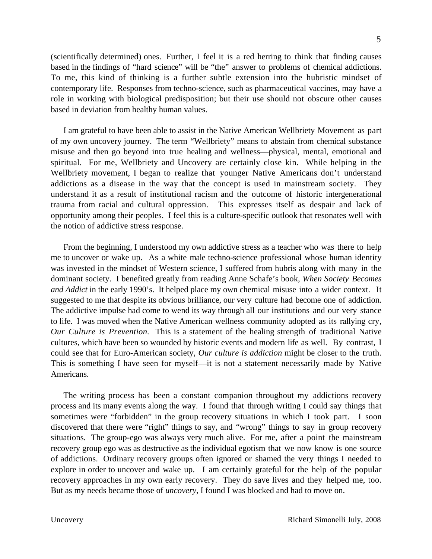(scientifically determined) ones. Further, I feel it is a red herring to think that finding causes based in the findings of "hard science" will be "the" answer to problems of chemical addictions. To me, this kind of thinking is a further subtle extension into the hubristic mindset of contemporary life. Responses from techno-science, such as pharmaceutical vaccines, may have a role in working with biological predisposition; but their use should not obscure other causes based in deviation from healthy human values.

I am grateful to have been able to assist in the Native American Wellbriety Movement as part of my own uncovery journey. The term "Wellbriety" means to abstain from chemical substance misuse and then go beyond into true healing and wellness––physical, mental, emotional and spiritual. For me, Wellbriety and Uncovery are certainly close kin. While helping in the Wellbriety movement, I began to realize that younger Native Americans don't understand addictions as a disease in the way that the concept is used in mainstream society. They understand it as a result of institutional racism and the outcome of historic intergenerational trauma from racial and cultural oppression. This expresses itself as despair and lack of opportunity among their peoples. I feel this is a culture-specific outlook that resonates well with the notion of addictive stress response.

From the beginning, I understood my own addictive stress as a teacher who was there to help me to uncover or wake up. As a white male techno-science professional whose human identity was invested in the mindset of Western science, I suffered from hubris along with many in the dominant society. I benefited greatly from reading Anne Schafe's book, *When Society Becomes and Addict* in the early 1990's. It helped place my own chemical misuse into a wider context. It suggested to me that despite its obvious brilliance, our very culture had become one of addiction. The addictive impulse had come to wend its way through all our institutions and our very stance to life. I was moved when the Native American wellness community adopted as its rallying cry, *Our Culture is Prevention.* This is a statement of the healing strength of traditional Native cultures, which have been so wounded by historic events and modern life as well. By contrast, I could see that for Euro-American society, *Our culture is addiction* might be closer to the truth. This is something I have seen for myself––it is not a statement necessarily made by Native Americans.

The writing process has been a constant companion throughout my addictions recovery process and its many events along the way. I found that through writing I could say things that sometimes were "forbidden" in the group recovery situations in which I took part. I soon discovered that there were "right" things to say, and "wrong" things to say in group recovery situations. The group-ego was always very much alive. For me, after a point the mainstream recovery group ego was as destructive as the individual egotism that we now know is one source of addictions. Ordinary recovery groups often ignored or shamed the very things I needed to explore in order to uncover and wake up. I am certainly grateful for the help of the popular recovery approaches in my own early recovery. They do save lives and they helped me, too. But as my needs became those of *uncovery,* I found I was blocked and had to move on.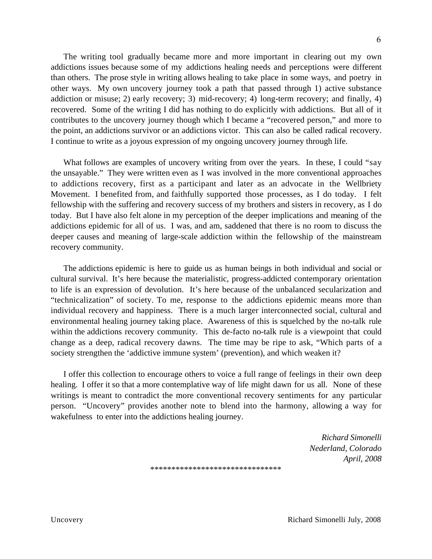The writing tool gradually became more and more important in clearing out my own addictions issues because some of my addictions healing needs and perceptions were different than others. The prose style in writing allows healing to take place in some ways, and poetry in other ways. My own uncovery journey took a path that passed through 1) active substance addiction or misuse; 2) early recovery; 3) mid-recovery; 4) long-term recovery; and finally, 4) recovered. Some of the writing I did has nothing to do explicitly with addictions. But all of it contributes to the uncovery journey though which I became a "recovered person," and more to the point, an addictions survivor or an addictions victor. This can also be called radical recovery. I continue to write as a joyous expression of my ongoing uncovery journey through life.

What follows are examples of uncovery writing from over the years. In these, I could "say the unsayable." They were written even as I was involved in the more conventional approaches to addictions recovery, first as a participant and later as an advocate in the Wellbriety Movement. I benefited from, and faithfully supported those processes, as I do today. I felt fellowship with the suffering and recovery success of my brothers and sisters in recovery, as I do today. But I have also felt alone in my perception of the deeper implications and meaning of the addictions epidemic for all of us. I was, and am, saddened that there is no room to discuss the deeper causes and meaning of large-scale addiction within the fellowship of the mainstream recovery community.

The addictions epidemic is here to guide us as human beings in both individual and social or cultural survival. It's here because the materialistic, progress-addicted contemporary orientation to life is an expression of devolution. It's here because of the unbalanced secularization and "technicalization" of society. To me, response to the addictions epidemic means more than individual recovery and happiness. There is a much larger interconnected social, cultural and environmental healing journey taking place. Awareness of this is squelched by the no-talk rule within the addictions recovery community. This de-facto no-talk rule is a viewpoint that could change as a deep, radical recovery dawns. The time may be ripe to ask, "Which parts of a society strengthen the 'addictive immune system' (prevention), and which weaken it?

I offer this collection to encourage others to voice a full range of feelings in their own deep healing. I offer it so that a more contemplative way of life might dawn for us all. None of these writings is meant to contradict the more conventional recovery sentiments for any particular person. "Uncovery" provides another note to blend into the harmony, allowing a way for wakefulness to enter into the addictions healing journey.

> *Richard Simonelli Nederland, Colorado April, 2008*

\*\*\*\*\*\*\*\*\*\*\*\*\*\*\*\*\*\*\*\*\*\*\*\*\*\*\*\*\*\*\*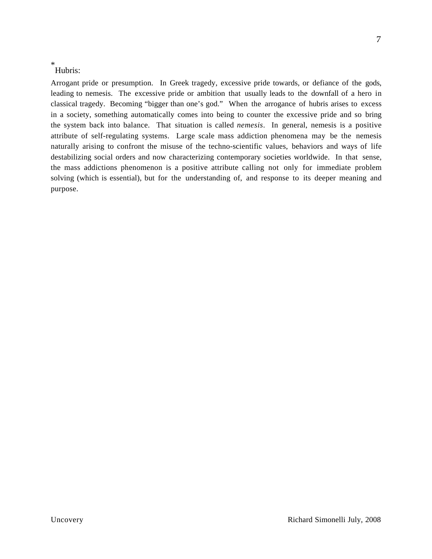#### \* Hubris:

Arrogant pride or presumption. In Greek tragedy, excessive pride towards, or defiance of the gods, leading to nemesis. The excessive pride or ambition that usually leads to the downfall of a hero in classical tragedy. Becoming "bigger than one's god." When the arrogance of hubris arises to excess in a society, something automatically comes into being to counter the excessive pride and so bring the system back into balance. That situation is called *nemesis*. In general, nemesis is a positive attribute of self-regulating systems. Large scale mass addiction phenomena may be the nemesis naturally arising to confront the misuse of the techno-scientific values, behaviors and ways of life destabilizing social orders and now characterizing contemporary societies worldwide. In that sense, the mass addictions phenomenon is a positive attribute calling not only for immediate problem solving (which is essential), but for the understanding of, and response to its deeper meaning and purpose.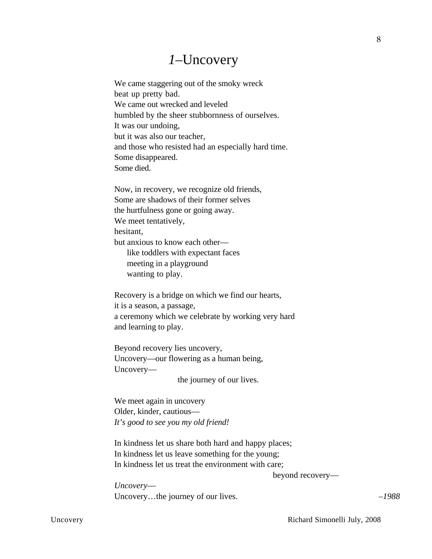## *1–*Uncovery

We came staggering out of the smoky wreck beat up pretty bad. We came out wrecked and leveled humbled by the sheer stubbornness of ourselves. It was our undoing, but it was also our teacher, and those who resisted had an especially hard time. Some disappeared. Some died.

Now, in recovery, we recognize old friends, Some are shadows of their former selves the hurtfulness gone or going away. We meet tentatively, hesitant, but anxious to know each other–– like toddlers with expectant faces meeting in a playground wanting to play.

Recovery is a bridge on which we find our hearts, it is a season, a passage, a ceremony which we celebrate by working very hard and learning to play.

Beyond recovery lies uncovery, Uncovery––our flowering as a human being, Uncovery––

the journey of our lives.

We meet again in uncovery Older, kinder, cautious–– *It's good to see you my old friend!*

In kindness let us share both hard and happy places; In kindness let us leave something for the young; In kindness let us treat the environment with care;

beyond recovery––

*Uncovery––* Uncovery...the journey of our lives. *–1988* 

Uncovery **Richard Simonelli July, 2008**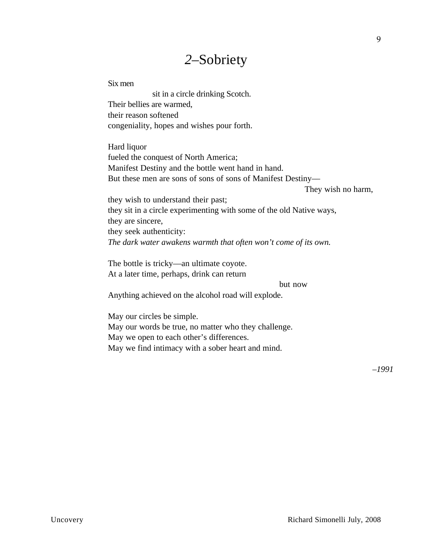## *2–*Sobriety

Six men sit in a circle drinking Scotch. Their bellies are warmed, their reason softened congeniality, hopes and wishes pour forth. Hard liquor fueled the conquest of North America; Manifest Destiny and the bottle went hand in hand. But these men are sons of sons of sons of Manifest Destiny–– They wish no harm, they wish to understand their past; they sit in a circle experimenting with some of the old Native ways, they are sincere, they seek authenticity: *The dark water awakens warmth that often won't come of its own.* The bottle is tricky––an ultimate coyote. At a later time, perhaps, drink can return but now Anything achieved on the alcohol road will explode. May our circles be simple. May our words be true, no matter who they challenge. May we open to each other's differences. May we find intimacy with a sober heart and mind.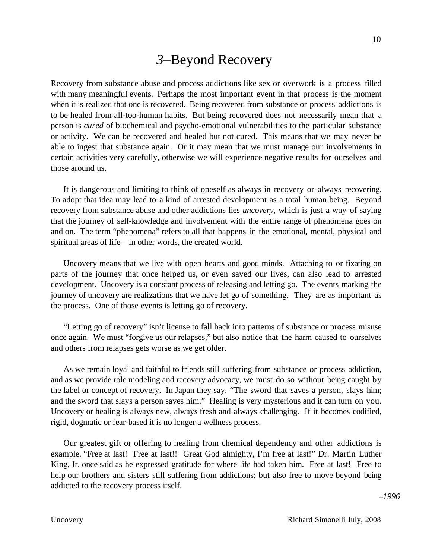## *3–*Beyond Recovery

Recovery from substance abuse and process addictions like sex or overwork is a process filled with many meaningful events. Perhaps the most important event in that process is the moment when it is realized that one is recovered. Being recovered from substance or process addictions is to be healed from all-too-human habits. But being recovered does not necessarily mean that a person is *cured* of biochemical and psycho-emotional vulnerabilities to the particular substance or activity. We can be recovered and healed but not cured. This means that we may never be able to ingest that substance again. Or it may mean that we must manage our involvements in certain activities very carefully, otherwise we will experience negative results for ourselves and those around us.

It is dangerous and limiting to think of oneself as always in recovery or always recovering. To adopt that idea may lead to a kind of arrested development as a total human being. Beyond recovery from substance abuse and other addictions lies *uncovery,* which is just a way of saying that the journey of self-knowledge and involvement with the entire range of phenomena goes on and on. The term "phenomena" refers to all that happens in the emotional, mental, physical and spiritual areas of life—in other words, the created world.

Uncovery means that we live with open hearts and good minds. Attaching to or fixating on parts of the journey that once helped us, or even saved our lives, can also lead to arrested development. Uncovery is a constant process of releasing and letting go. The events marking the journey of uncovery are realizations that we have let go of something. They are as important as the process. One of those events is letting go of recovery.

"Letting go of recovery" isn't license to fall back into patterns of substance or process misuse once again. We must "forgive us our relapses," but also notice that the harm caused to ourselves and others from relapses gets worse as we get older.

As we remain loyal and faithful to friends still suffering from substance or process addiction, and as we provide role modeling and recovery advocacy, we must do so without being caught by the label or concept of recovery. In Japan they say, "The sword that saves a person, slays him; and the sword that slays a person saves him." Healing is very mysterious and it can turn on you. Uncovery or healing is always new, always fresh and always challenging. If it becomes codified, rigid, dogmatic or fear-based it is no longer a wellness process.

Our greatest gift or offering to healing from chemical dependency and other addictions is example. "Free at last! Free at last!! Great God almighty, I'm free at last!" Dr. Martin Luther King, Jr. once said as he expressed gratitude for where life had taken him. Free at last! Free to help our brothers and sisters still suffering from addictions; but also free to move beyond being addicted to the recovery process itself.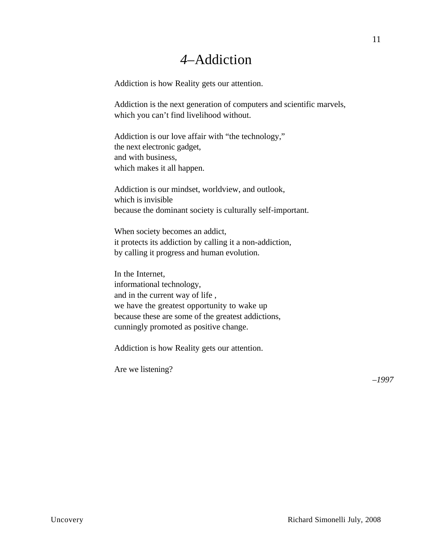## *4–*Addiction

Addiction is how Reality gets our attention.

Addiction is the next generation of computers and scientific marvels, which you can't find livelihood without.

Addiction is our love affair with "the technology," the next electronic gadget, and with business, which makes it all happen.

Addiction is our mindset, worldview, and outlook, which is invisible because the dominant society is culturally self-important.

When society becomes an addict, it protects its addiction by calling it a non-addiction, by calling it progress and human evolution.

In the Internet, informational technology, and in the current way of life , we have the greatest opportunity to wake up because these are some of the greatest addictions, cunningly promoted as positive change.

Addiction is how Reality gets our attention.

Are we listening?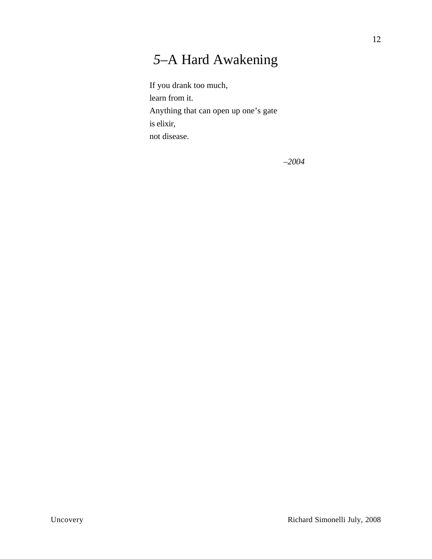# *5–*A Hard Awakening

If you drank too much, learn from it. Anything that can open up one's gate is elixir, not disease.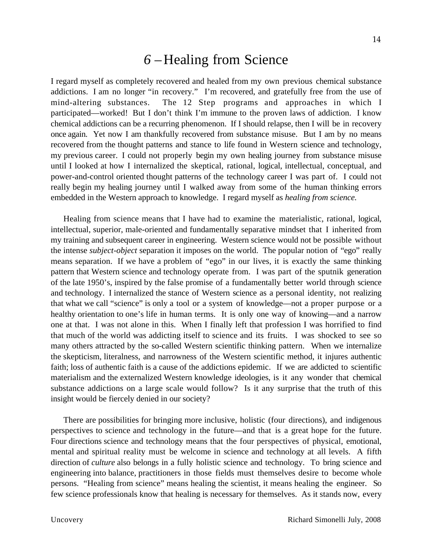## *6 –*Healing from Science

I regard myself as completely recovered and healed from my own previous chemical substance addictions. I am no longer "in recovery." I'm recovered, and gratefully free from the use of mind-altering substances. The 12 Step programs and approaches in which I participated––worked! But I don't think I'm immune to the proven laws of addiction. I know chemical addictions can be a recurring phenomenon. If I should relapse, then I will be in recovery once again. Yet now I am thankfully recovered from substance misuse. But I am by no means recovered from the thought patterns and stance to life found in Western science and technology, my previous career. I could not properly begin my own healing journey from substance misuse until I looked at how I internalized the skeptical, rational, logical, intellectual, conceptual, and power-and-control oriented thought patterns of the technology career I was part of. I could not really begin my healing journey until I walked away from some of the human thinking errors embedded in the Western approach to knowledge. I regard myself as *healing from science.*

Healing from science means that I have had to examine the materialistic, rational, logical, intellectual, superior, male-oriented and fundamentally separative mindset that I inherited from my training and subsequent career in engineering. Western science would not be possible without the intense *subject-object* separation it imposes on the world. The popular notion of "ego" really means separation. If we have a problem of "ego" in our lives, it is exactly the same thinking pattern that Western science and technology operate from. I was part of the sputnik generation of the late 1950's, inspired by the false promise of a fundamentally better world through science and technology. I internalized the stance of Western science as a personal identity, not realizing that what we call "science" is only a tool or a system of knowledge––not a proper purpose or a healthy orientation to one's life in human terms. It is only one way of knowing—and a narrow one at that. I was not alone in this. When I finally left that profession I was horrified to find that much of the world was addicting itself to science and its fruits. I was shocked to see so many others attracted by the so-called Western scientific thinking pattern. When we internalize the skepticism, literalness, and narrowness of the Western scientific method, it injures authentic faith; loss of authentic faith is a cause of the addictions epidemic. If we are addicted to scientific materialism and the externalized Western knowledge ideologies, is it any wonder that chemical substance addictions on a large scale would follow? Is it any surprise that the truth of this insight would be fiercely denied in our society?

There are possibilities for bringing more inclusive, holistic (four directions), and indigenous perspectives to science and technology in the future––and that is a great hope for the future. Four directions science and technology means that the four perspectives of physical, emotional, mental and spiritual reality must be welcome in science and technology at all levels. A fifth direction of *culture* also belongs in a fully holistic science and technology. To bring science and engineering into balance, practitioners in those fields must themselves desire to become whole persons. "Healing from science" means healing the scientist, it means healing the engineer. So few science professionals know that healing is necessary for themselves. As it stands now, every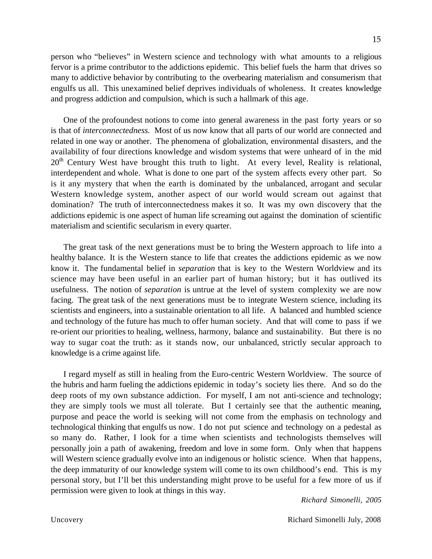person who "believes" in Western science and technology with what amounts to a religious fervor is a prime contributor to the addictions epidemic. This belief fuels the harm that drives so many to addictive behavior by contributing to the overbearing materialism and consumerism that engulfs us all. This unexamined belief deprives individuals of wholeness. It creates knowledge and progress addiction and compulsion, which is such a hallmark of this age.

One of the profoundest notions to come into general awareness in the past forty years or so is that of *interconnectedness.* Most of us now know that all parts of our world are connected and related in one way or another. The phenomena of globalization, environmental disasters, and the availability of four directions knowledge and wisdom systems that were unheard of in the mid 20<sup>th</sup> Century West have brought this truth to light. At every level, Reality is relational, interdependent and whole. What is done to one part of the system affects every other part. So is it any mystery that when the earth is dominated by the unbalanced, arrogant and secular Western knowledge system, another aspect of our world would scream out against that domination? The truth of interconnectedness makes it so. It was my own discovery that the addictions epidemic is one aspect of human life screaming out against the domination of scientific materialism and scientific secularism in every quarter.

The great task of the next generations must be to bring the Western approach to life into a healthy balance. It is the Western stance to life that creates the addictions epidemic as we now know it. The fundamental belief in *separation* that is key to the Western Worldview and its science may have been useful in an earlier part of human history; but it has outlived its usefulness. The notion of *separation* is untrue at the level of system complexity we are now facing. The great task of the next generations must be to integrate Western science, including its scientists and engineers, into a sustainable orientation to all life. A balanced and humbled science and technology of the future has much to offer human society. And that will come to pass if we re-orient our priorities to healing, wellness, harmony, balance and sustainability. But there is no way to sugar coat the truth: as it stands now, our unbalanced, strictly secular approach to knowledge is a crime against life.

I regard myself as still in healing from the Euro-centric Western Worldview. The source of the hubris and harm fueling the addictions epidemic in today's society lies there. And so do the deep roots of my own substance addiction. For myself, I am not anti-science and technology; they are simply tools we must all tolerate. But I certainly see that the authentic meaning, purpose and peace the world is seeking will not come from the emphasis on technology and technological thinking that engulfs us now. I do not put science and technology on a pedestal as so many do. Rather, I look for a time when scientists and technologists themselves will personally join a path of awakening, freedom and love in some form. Only when that happens will Western science gradually evolve into an indigenous or holistic science. When that happens, the deep immaturity of our knowledge system will come to its own childhood's end. This is my personal story, but I'll bet this understanding might prove to be useful for a few more of us if permission were given to look at things in this way.

*Richard Simonelli, 2005*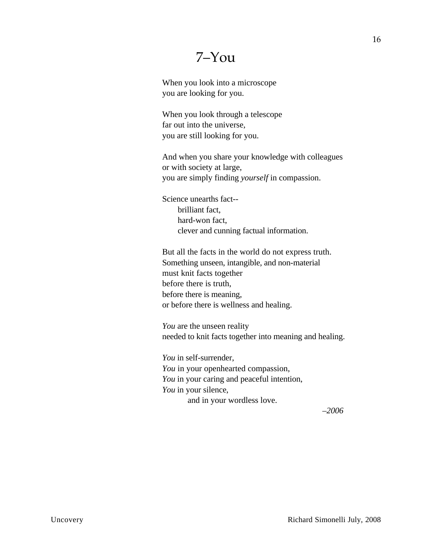## 7–You

When you look into a microscope you are looking for you.

When you look through a telescope far out into the universe, you are still looking for you.

And when you share your knowledge with colleagues or with society at large, you are simply finding *yourself* in compassion.

Science unearths fact- brilliant fact, hard-won fact, clever and cunning factual information.

But all the facts in the world do not express truth. Something unseen, intangible, and non-material must knit facts together before there is truth, before there is meaning, or before there is wellness and healing.

*You* are the unseen reality needed to knit facts together into meaning and healing.

*You* in self-surrender, *You* in your openhearted compassion, *You* in your caring and peaceful intention, *You* in your silence, and in your wordless love.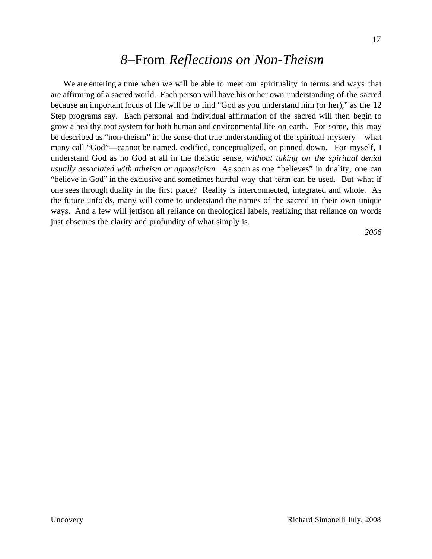### *8–*From *Reflections on Non-Theism*

We are entering a time when we will be able to meet our spirituality in terms and ways that are affirming of a sacred world. Each person will have his or her own understanding of the sacred because an important focus of life will be to find "God as you understand him (or her)," as the 12 Step programs say. Each personal and individual affirmation of the sacred will then begin to grow a healthy root system for both human and environmental life on earth. For some, this may be described as "non-theism" in the sense that true understanding of the spiritual mystery––what many call "God"––cannot be named, codified, conceptualized, or pinned down. For myself, I understand God as no God at all in the theistic sense, *without taking on the spiritual denial usually associated with atheism or agnosticism.* As soon as one "believes" in duality, one can "believe in God" in the exclusive and sometimes hurtful way that term can be used. But what if one sees through duality in the first place? Reality is interconnected, integrated and whole. As the future unfolds, many will come to understand the names of the sacred in their own unique ways. And a few will jettison all reliance on theological labels, realizing that reliance on words just obscures the clarity and profundity of what simply is.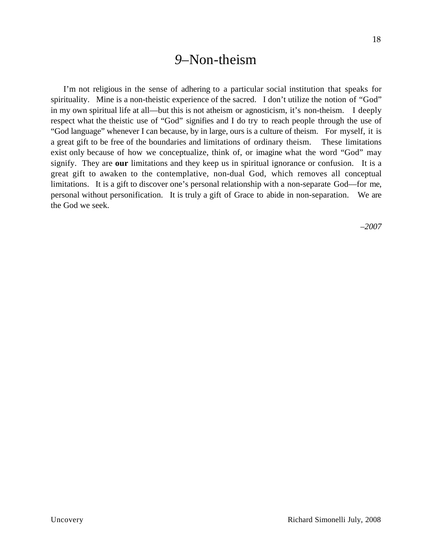#### *9–*Non-theism

I'm not religious in the sense of adhering to a particular social institution that speaks for spirituality. Mine is a non-theistic experience of the sacred. I don't utilize the notion of "God" in my own spiritual life at all––but this is not atheism or agnosticism, it's non-theism. I deeply respect what the theistic use of "God" signifies and I do try to reach people through the use of "God language" whenever I can because, by in large, ours is a culture of theism. For myself, it is a great gift to be free of the boundaries and limitations of ordinary theism. These limitations exist only because of how we conceptualize, think of, or imagine what the word "God" may signify. They are **our** limitations and they keep us in spiritual ignorance or confusion. It is a great gift to awaken to the contemplative, non-dual God, which removes all conceptual limitations. It is a gift to discover one's personal relationship with a non-separate God––for me, personal without personification. It is truly a gift of Grace to abide in non-separation. We are the God we seek.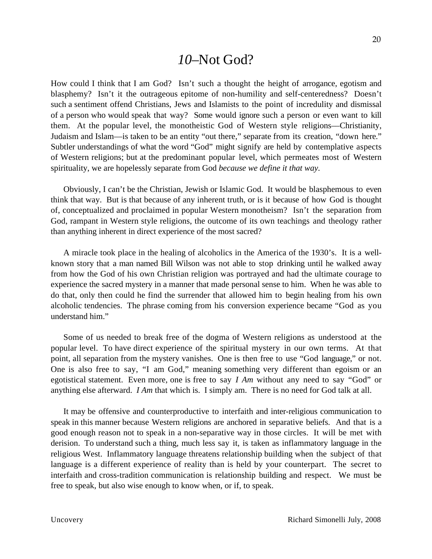#### *10–*Not God?

How could I think that I am God? Isn't such a thought the height of arrogance, egotism and blasphemy? Isn't it the outrageous epitome of non-humility and self-centeredness? Doesn't such a sentiment offend Christians, Jews and Islamists to the point of incredulity and dismissal of a person who would speak that way? Some would ignore such a person or even want to kill them. At the popular level, the monotheistic God of Western style religions––Christianity, Judaism and Islam––is taken to be an entity "out there," separate from its creation, "down here." Subtler understandings of what the word "God" might signify are held by contemplative aspects of Western religions; but at the predominant popular level, which permeates most of Western spirituality, we are hopelessly separate from God *because we define it that way.*

Obviously, I can't be the Christian, Jewish or Islamic God. It would be blasphemous to even think that way. But is that because of any inherent truth, or is it because of how God is thought of, conceptualized and proclaimed in popular Western monotheism? Isn't the separation from God, rampant in Western style religions, the outcome of its own teachings and theology rather than anything inherent in direct experience of the most sacred?

A miracle took place in the healing of alcoholics in the America of the 1930's. It is a wellknown story that a man named Bill Wilson was not able to stop drinking until he walked away from how the God of his own Christian religion was portrayed and had the ultimate courage to experience the sacred mystery in a manner that made personal sense to him. When he was able to do that, only then could he find the surrender that allowed him to begin healing from his own alcoholic tendencies. The phrase coming from his conversion experience became "God as you understand him."

Some of us needed to break free of the dogma of Western religions as understood at the popular level. To have direct experience of the spiritual mystery in our own terms. At that point, all separation from the mystery vanishes. One is then free to use "God language," or not. One is also free to say, "I am God," meaning something very different than egoism or an egotistical statement. Even more, one is free to say *I Am* without any need to say "God" or anything else afterward. *I Am* that which is. I simply am. There is no need for God talk at all.

It may be offensive and counterproductive to interfaith and inter-religious communication to speak in this manner because Western religions are anchored in separative beliefs. And that is a good enough reason not to speak in a non-separative way in those circles. It will be met with derision. To understand such a thing, much less say it, is taken as inflammatory language in the religious West. Inflammatory language threatens relationship building when the subject of that language is a different experience of reality than is held by your counterpart. The secret to interfaith and cross-tradition communication is relationship building and respect. We must be free to speak, but also wise enough to know when, or if, to speak.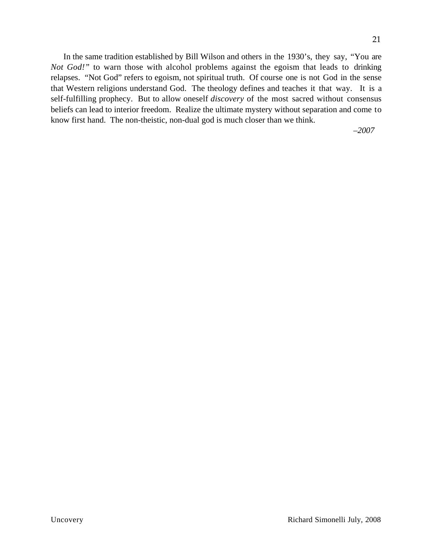In the same tradition established by Bill Wilson and others in the 1930's, they say, "You are *Not God!"* to warn those with alcohol problems against the egoism that leads to drinking relapses. "Not God" refers to egoism, not spiritual truth. Of course one is not God in the sense that Western religions understand God. The theology defines and teaches it that way. It is a self-fulfilling prophecy. But to allow oneself *discovery* of the most sacred without consensus beliefs can lead to interior freedom. Realize the ultimate mystery without separation and come to know first hand. The non-theistic, non-dual god is much closer than we think.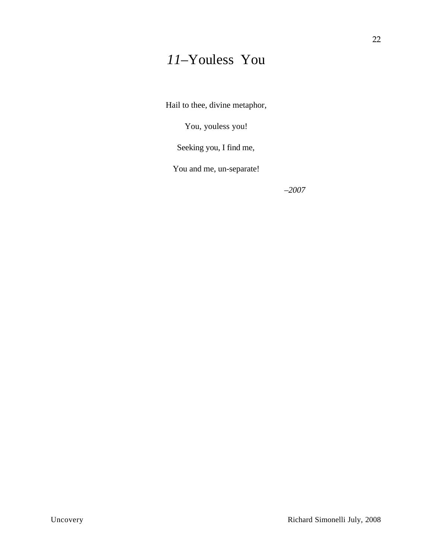# *11–*Youless You

Hail to thee, divine metaphor,

You, youless you!

Seeking you, I find me,

You and me, un-separate!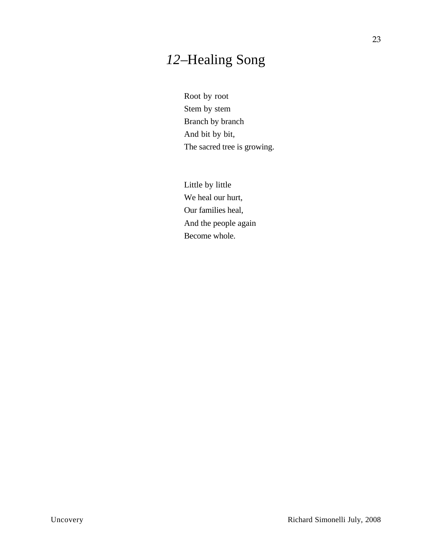# *12*–Healing Song

Root by root Stem by stem Branch by branch And bit by bit, The sacred tree is growing.

Little by little We heal our hurt, Our families heal, And the people again Become whole.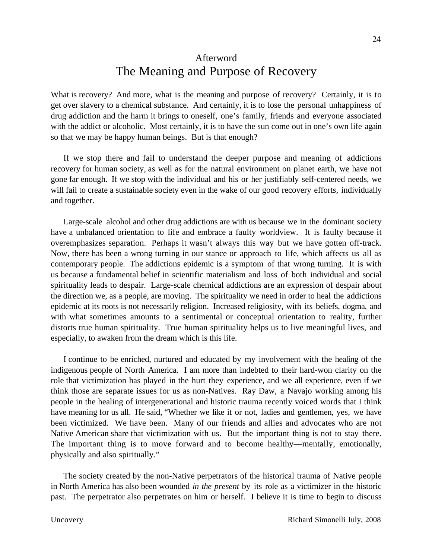#### Afterword

## The Meaning and Purpose of Recovery

What is recovery? And more, what is the meaning and purpose of recovery? Certainly, it is to get over slavery to a chemical substance. And certainly, it is to lose the personal unhappiness of drug addiction and the harm it brings to oneself, one's family, friends and everyone associated with the addict or alcoholic. Most certainly, it is to have the sun come out in one's own life again so that we may be happy human beings. But is that enough?

If we stop there and fail to understand the deeper purpose and meaning of addictions recovery for human society, as well as for the natural environment on planet earth, we have not gone far enough. If we stop with the individual and his or her justifiably self-centered needs, we will fail to create a sustainable society even in the wake of our good recovery efforts, individually and together.

Large-scale alcohol and other drug addictions are with us because we in the dominant society have a unbalanced orientation to life and embrace a faulty worldview. It is faulty because it overemphasizes separation. Perhaps it wasn't always this way but we have gotten off-track. Now, there has been a wrong turning in our stance or approach to life, which affects us all as contemporary people. The addictions epidemic is a symptom of that wrong turning. It is with us because a fundamental belief in scientific materialism and loss of both individual and social spirituality leads to despair. Large-scale chemical addictions are an expression of despair about the direction we, as a people, are moving. The spirituality we need in order to heal the addictions epidemic at its roots is not necessarily religion. Increased religiosity, with its beliefs, dogma, and with what sometimes amounts to a sentimental or conceptual orientation to reality, further distorts true human spirituality. True human spirituality helps us to live meaningful lives, and especially, to awaken from the dream which is this life.

I continue to be enriched, nurtured and educated by my involvement with the healing of the indigenous people of North America. I am more than indebted to their hard-won clarity on the role that victimization has played in the hurt they experience, and we all experience, even if we think those are separate issues for us as non-Natives. Ray Daw, a Navajo working among his people in the healing of intergenerational and historic trauma recently voiced words that I think have meaning for us all. He said, "Whether we like it or not, ladies and gentlemen, yes, we have been victimized. We have been. Many of our friends and allies and advocates who are not Native American share that victimization with us. But the important thing is not to stay there. The important thing is to move forward and to become healthy—mentally, emotionally, physically and also spiritually."

The society created by the non-Native perpetrators of the historical trauma of Native people in North America has also been wounded *in the present* by its role as a victimizer in the historic past. The perpetrator also perpetrates on him or herself. I believe it is time to begin to discuss

24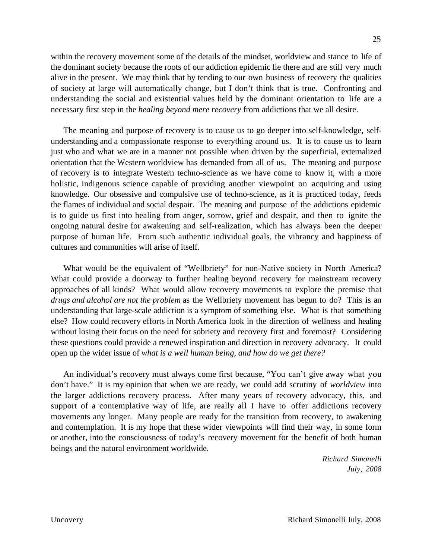within the recovery movement some of the details of the mindset, worldview and stance to life of the dominant society because the roots of our addiction epidemic lie there and are still very much alive in the present. We may think that by tending to our own business of recovery the qualities of society at large will automatically change, but I don't think that is true. Confronting and understanding the social and existential values held by the dominant orientation to life are a necessary first step in the *healing beyond mere recovery* from addictions that we all desire.

The meaning and purpose of recovery is to cause us to go deeper into self-knowledge, selfunderstanding and a compassionate response to everything around us. It is to cause us to learn just who and what we are in a manner not possible when driven by the superficial, externalized orientation that the Western worldview has demanded from all of us. The meaning and purpose of recovery is to integrate Western techno-science as we have come to know it, with a more holistic, indigenous science capable of providing another viewpoint on acquiring and using knowledge. Our obsessive and compulsive use of techno-science, as it is practiced today, feeds the flames of individual and social despair. The meaning and purpose of the addictions epidemic is to guide us first into healing from anger, sorrow, grief and despair, and then to ignite the ongoing natural desire for awakening and self-realization, which has always been the deeper purpose of human life. From such authentic individual goals, the vibrancy and happiness of cultures and communities will arise of itself.

What would be the equivalent of "Wellbriety" for non-Native society in North America? What could provide a doorway to further healing beyond recovery for mainstream recovery approaches of all kinds? What would allow recovery movements to explore the premise that *drugs and alcohol are not the problem* as the Wellbriety movement has begun to do? This is an understanding that large-scale addiction is a symptom of something else. What is that something else? How could recovery efforts in North America look in the direction of wellness and healing without losing their focus on the need for sobriety and recovery first and foremost? Considering these questions could provide a renewed inspiration and direction in recovery advocacy. It could open up the wider issue of *what is a well human being, and how do we get there?*

An individual's recovery must always come first because, "You can't give away what you don't have." It is my opinion that when we are ready, we could add scrutiny of *worldview* into the larger addictions recovery process. After many years of recovery advocacy, this, and support of a contemplative way of life, are really all I have to offer addictions recovery movements any longer. Many people are ready for the transition from recovery, to awakening and contemplation. It is my hope that these wider viewpoints will find their way, in some form or another, into the consciousness of today's recovery movement for the benefit of both human beings and the natural environment worldwide.

> *Richard Simonelli July, 2008*